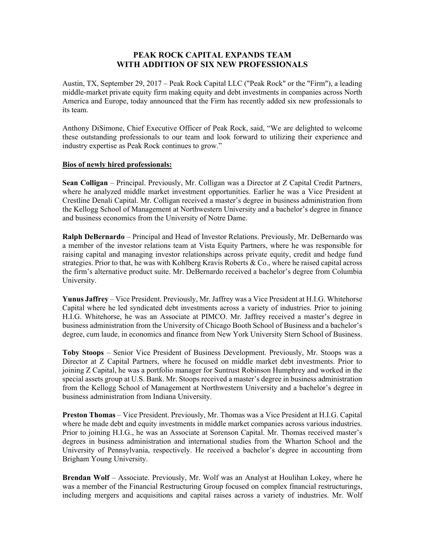## **PEAK ROCK CAPITAL EXPANDS TEAM WITH ADDITION OF SIX NEW PROFESSIONALS**

Austin, TX, September 29, 2017 – Peak Rock Capital LLC ("Peak Rock" or the "Firm"), a leading middle-market private equity firm making equity and debt investments in companies across North America and Europe, today announced that the Firm has recently added six new professionals to its team.

Anthony DiSimone, Chief Executive Officer of Peak Rock, said, "We are delighted to welcome these outstanding professionals to our team and look forward to utilizing their experience and industry expertise as Peak Rock continues to grow."

## **Bios of newly hired professionals:**

**Sean Colligan** – Principal. Previously, Mr. Colligan was a Director at Z Capital Credit Partners, where he analyzed middle market investment opportunities. Earlier he was a Vice President at Crestline Denali Capital. Mr. Colligan received a master's degree in business administration from the Kellogg School of Management at Northwestern University and a bachelor's degree in finance and business economics from the University of Notre Dame.

**Ralph DeBernardo** – Principal and Head of Investor Relations. Previously, Mr. DeBernardo was a member of the investor relations team at Vista Equity Partners, where he was responsible for raising capital and managing investor relationships across private equity, credit and hedge fund strategies. Prior to that, he was with Kohlberg Kravis Roberts & Co., where he raised capital across the firm's alternative product suite. Mr. DeBernardo received a bachelor's degree from Columbia University.

**Yunus Jaffrey** – Vice President. Previously, Mr. Jaffrey was a Vice President at H.I.G. Whitehorse Capital where he led syndicated debt investments across a variety of industries. Prior to joining H.I.G. Whitehorse, he was an Associate at PIMCO. Mr. Jaffrey received a master's degree in business administration from the University of Chicago Booth School of Business and a bachelor's degree, cum laude, in economics and finance from New York University Stern School of Business.

**Toby Stoops** – Senior Vice President of Business Development. Previously, Mr. Stoops was a Director at Z Capital Partners, where he focused on middle market debt investments. Prior to joining Z Capital, he was a portfolio manager for Suntrust Robinson Humphrey and worked in the special assets group at U.S. Bank. Mr. Stoops received a master's degree in business administration from the Kellogg School of Management at Northwestern University and a bachelor's degree in business administration from Indiana University.

**Preston Thomas** – Vice President. Previously, Mr. Thomas was a Vice President at H.I.G. Capital where he made debt and equity investments in middle market companies across various industries. Prior to joining H.I.G., he was an Associate at Sorenson Capital. Mr. Thomas received master's degrees in business administration and international studies from the Wharton School and the University of Pennsylvania, respectively. He received a bachelor's degree in accounting from Brigham Young University.

**Brendan Wolf** – Associate. Previously, Mr. Wolf was an Analyst at Houlihan Lokey, where he was a member of the Financial Restructuring Group focused on complex financial restructurings, including mergers and acquisitions and capital raises across a variety of industries. Mr. Wolf